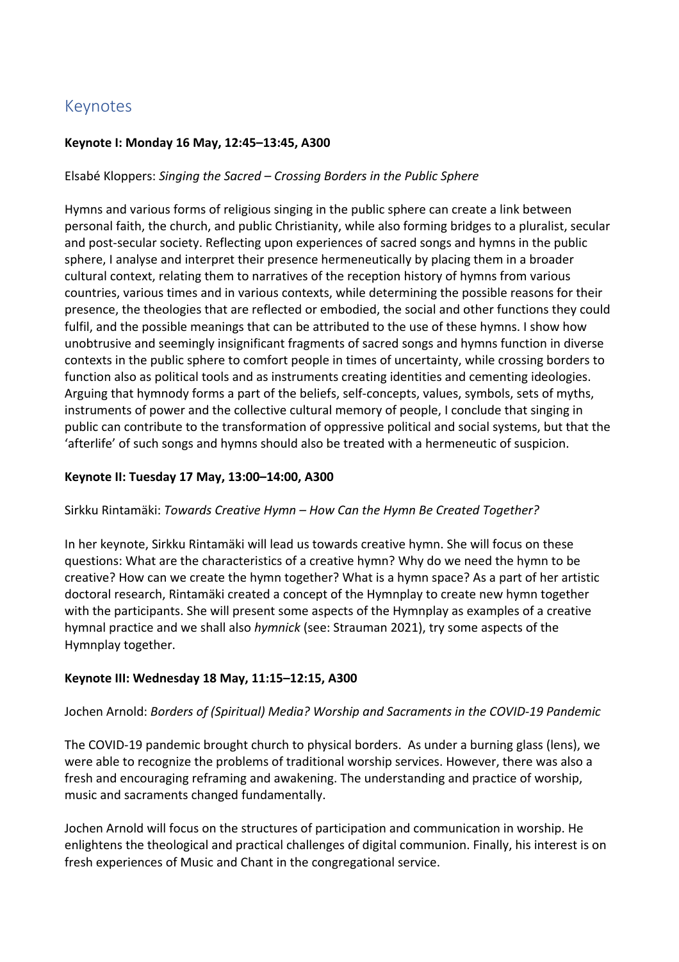## Keynotes

## **Keynote I: Monday 16 May, 12:45–13:45, A300**

## Elsabé Kloppers: *Singing the Sacred – Crossing Borders in the Public Sphere*

Hymns and various forms of religious singing in the public sphere can create a link between personal faith, the church, and public Christianity, while also forming bridges to a pluralist, secular and post-secular society. Reflecting upon experiences of sacred songs and hymns in the public sphere, I analyse and interpret their presence hermeneutically by placing them in a broader cultural context, relating them to narratives of the reception history of hymns from various countries, various times and in various contexts, while determining the possible reasons for their presence, the theologies that are reflected or embodied, the social and other functions they could fulfil, and the possible meanings that can be attributed to the use of these hymns. I show how unobtrusive and seemingly insignificant fragments of sacred songs and hymns function in diverse contexts in the public sphere to comfort people in times of uncertainty, while crossing borders to function also as political tools and as instruments creating identities and cementing ideologies. Arguing that hymnody forms a part of the beliefs, self-concepts, values, symbols, sets of myths, instruments of power and the collective cultural memory of people, I conclude that singing in public can contribute to the transformation of oppressive political and social systems, but that the 'afterlife' of such songs and hymns should also be treated with a hermeneutic of suspicion.

## **Keynote II: Tuesday 17 May, 13:00–14:00, A300**

## Sirkku Rintamäki: *Towards Creative Hymn – How Can the Hymn Be Created Together?*

In her keynote, Sirkku Rintamäki will lead us towards creative hymn. She will focus on these questions: What are the characteristics of a creative hymn? Why do we need the hymn to be creative? How can we create the hymn together? What is a hymn space? As a part of her artistic doctoral research, Rintamäki created a concept of the Hymnplay to create new hymn together with the participants. She will present some aspects of the Hymnplay as examples of a creative hymnal practice and we shall also *hymnick* (see: Strauman 2021), try some aspects of the Hymnplay together.

## **Keynote III: Wednesday 18 May, 11:15–12:15, A300**

#### Jochen Arnold: *Borders of (Spiritual) Media? Worship and Sacraments in the COVID-19 Pandemic*

The COVID-19 pandemic brought church to physical borders. As under a burning glass (lens), we were able to recognize the problems of traditional worship services. However, there was also a fresh and encouraging reframing and awakening. The understanding and practice of worship, music and sacraments changed fundamentally.

Jochen Arnold will focus on the structures of participation and communication in worship. He enlightens the theological and practical challenges of digital communion. Finally, his interest is on fresh experiences of Music and Chant in the congregational service.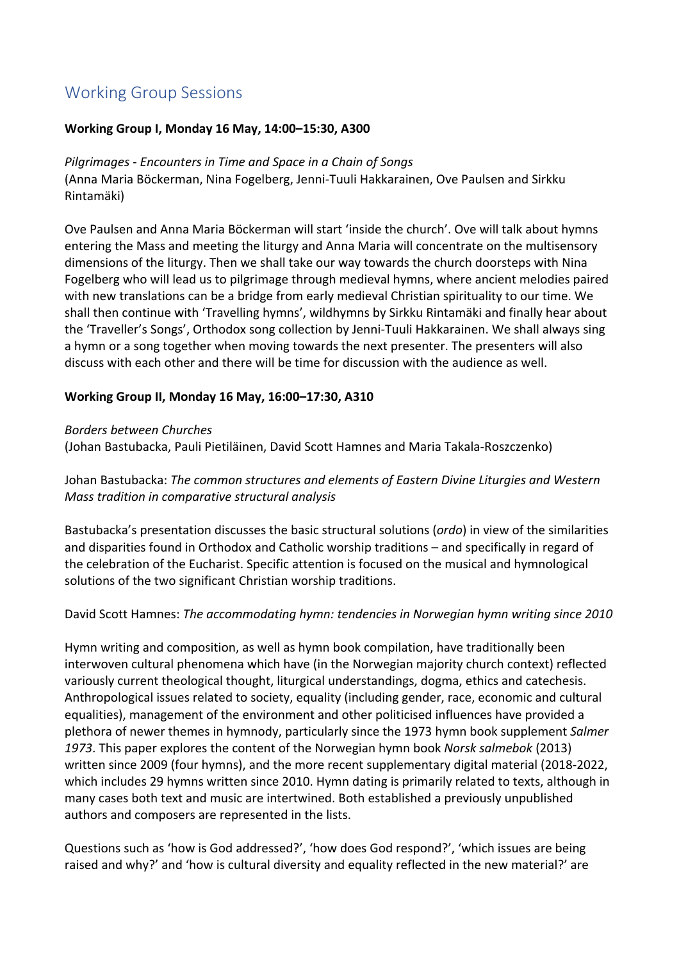# Working Group Sessions

#### **Working Group I, Monday 16 May, 14:00–15:30, A300**

## *Pilgrimages - Encounters in Time and Space in a Chain of Songs*

(Anna Maria Böckerman, Nina Fogelberg, Jenni-Tuuli Hakkarainen, Ove Paulsen and Sirkku Rintamäki)

Ove Paulsen and Anna Maria Böckerman will start 'inside the church'. Ove will talk about hymns entering the Mass and meeting the liturgy and Anna Maria will concentrate on the multisensory dimensions of the liturgy. Then we shall take our way towards the church doorsteps with Nina Fogelberg who will lead us to pilgrimage through medieval hymns, where ancient melodies paired with new translations can be a bridge from early medieval Christian spirituality to our time. We shall then continue with 'Travelling hymns', wildhymns by Sirkku Rintamäki and finally hear about the 'Traveller's Songs', Orthodox song collection by Jenni-Tuuli Hakkarainen. We shall always sing a hymn or a song together when moving towards the next presenter. The presenters will also discuss with each other and there will be time for discussion with the audience as well.

#### **Working Group II, Monday 16 May, 16:00–17:30, A310**

*Borders between Churches*

(Johan Bastubacka, Pauli Pietiläinen, David Scott Hamnes and Maria Takala-Roszczenko)

Johan Bastubacka: *The common structures and elements of Eastern Divine Liturgies and Western Mass tradition in comparative structural analysis*

Bastubacka's presentation discusses the basic structural solutions (*ordo*) in view of the similarities and disparities found in Orthodox and Catholic worship traditions – and specifically in regard of the celebration of the Eucharist. Specific attention is focused on the musical and hymnological solutions of the two significant Christian worship traditions.

#### David Scott Hamnes: *The accommodating hymn: tendencies in Norwegian hymn writing since 2010*

Hymn writing and composition, as well as hymn book compilation, have traditionally been interwoven cultural phenomena which have (in the Norwegian majority church context) reflected variously current theological thought, liturgical understandings, dogma, ethics and catechesis. Anthropological issues related to society, equality (including gender, race, economic and cultural equalities), management of the environment and other politicised influences have provided a plethora of newer themes in hymnody, particularly since the 1973 hymn book supplement *Salmer 1973*. This paper explores the content of the Norwegian hymn book *Norsk salmebok* (2013) written since 2009 (four hymns), and the more recent supplementary digital material (2018-2022, which includes 29 hymns written since 2010. Hymn dating is primarily related to texts, although in many cases both text and music are intertwined. Both established a previously unpublished authors and composers are represented in the lists.

Questions such as 'how is God addressed?', 'how does God respond?', 'which issues are being raised and why?' and 'how is cultural diversity and equality reflected in the new material?' are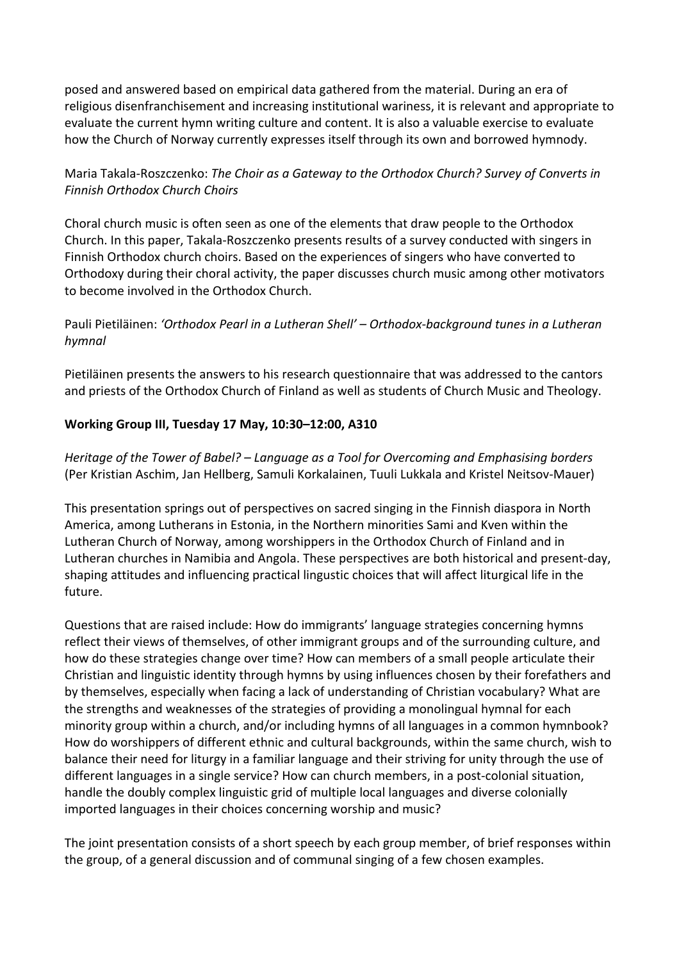posed and answered based on empirical data gathered from the material. During an era of religious disenfranchisement and increasing institutional wariness, it is relevant and appropriate to evaluate the current hymn writing culture and content. It is also a valuable exercise to evaluate how the Church of Norway currently expresses itself through its own and borrowed hymnody.

## Maria Takala-Roszczenko: *The Choir as a Gateway to the Orthodox Church? Survey of Converts in Finnish Orthodox Church Choirs*

Choral church music is often seen as one of the elements that draw people to the Orthodox Church. In this paper, Takala-Roszczenko presents results of a survey conducted with singers in Finnish Orthodox church choirs. Based on the experiences of singers who have converted to Orthodoxy during their choral activity, the paper discusses church music among other motivators to become involved in the Orthodox Church.

## Pauli Pietiläinen: *'Orthodox Pearl in a Lutheran Shell' – Orthodox-background tunes in a Lutheran hymnal*

Pietiläinen presents the answers to his research questionnaire that was addressed to the cantors and priests of the Orthodox Church of Finland as well as students of Church Music and Theology.

## **Working Group III, Tuesday 17 May, 10:30–12:00, A310**

*Heritage of the Tower of Babel? – Language as a Tool for Overcoming and Emphasising borders* (Per Kristian Aschim, Jan Hellberg, Samuli Korkalainen, Tuuli Lukkala and Kristel Neitsov-Mauer)

This presentation springs out of perspectives on sacred singing in the Finnish diaspora in North America, among Lutherans in Estonia, in the Northern minorities Sami and Kven within the Lutheran Church of Norway, among worshippers in the Orthodox Church of Finland and in Lutheran churches in Namibia and Angola. These perspectives are both historical and present-day, shaping attitudes and influencing practical lingustic choices that will affect liturgical life in the future.

Questions that are raised include: How do immigrants' language strategies concerning hymns reflect their views of themselves, of other immigrant groups and of the surrounding culture, and how do these strategies change over time? How can members of a small people articulate their Christian and linguistic identity through hymns by using influences chosen by their forefathers and by themselves, especially when facing a lack of understanding of Christian vocabulary? What are the strengths and weaknesses of the strategies of providing a monolingual hymnal for each minority group within a church, and/or including hymns of all languages in a common hymnbook? How do worshippers of different ethnic and cultural backgrounds, within the same church, wish to balance their need for liturgy in a familiar language and their striving for unity through the use of different languages in a single service? How can church members, in a post-colonial situation, handle the doubly complex linguistic grid of multiple local languages and diverse colonially imported languages in their choices concerning worship and music?

The joint presentation consists of a short speech by each group member, of brief responses within the group, of a general discussion and of communal singing of a few chosen examples.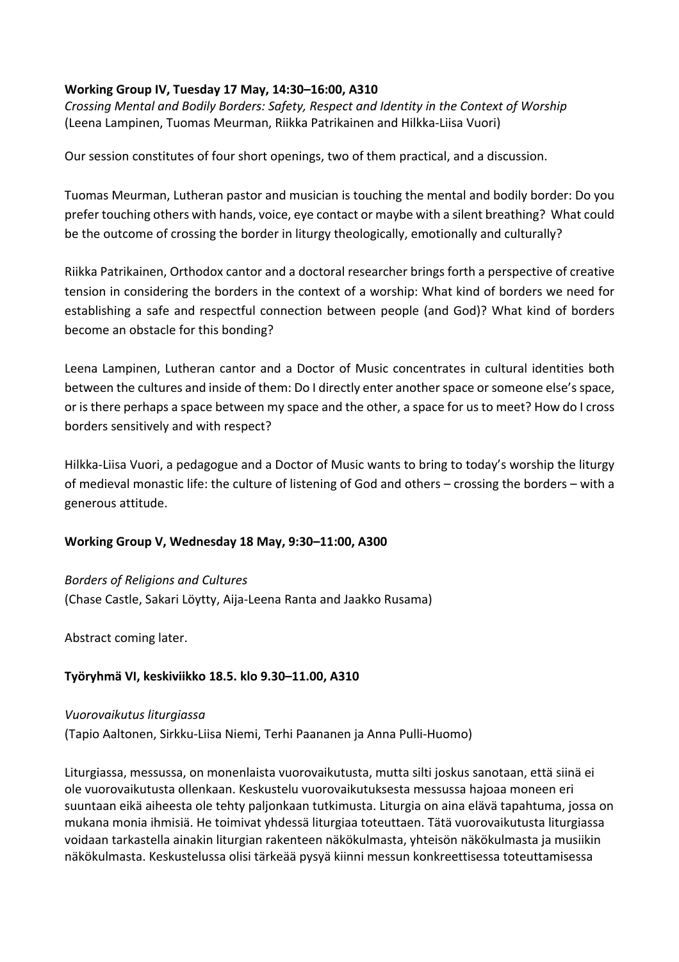#### **Working Group IV, Tuesday 17 May, 14:30–16:00, A310**

*Crossing Mental and Bodily Borders: Safety, Respect and Identity in the Context of Worship* (Leena Lampinen, Tuomas Meurman, Riikka Patrikainen and Hilkka-Liisa Vuori)

Our session constitutes of four short openings, two of them practical, and a discussion.

Tuomas Meurman, Lutheran pastor and musician is touching the mental and bodily border: Do you prefer touching others with hands, voice, eye contact or maybe with a silent breathing? What could be the outcome of crossing the border in liturgy theologically, emotionally and culturally?

Riikka Patrikainen, Orthodox cantor and a doctoral researcher brings forth a perspective of creative tension in considering the borders in the context of a worship: What kind of borders we need for establishing a safe and respectful connection between people (and God)? What kind of borders become an obstacle for this bonding?

Leena Lampinen, Lutheran cantor and a Doctor of Music concentrates in cultural identities both between the cultures and inside of them: Do I directly enter another space or someone else's space, or is there perhaps a space between my space and the other, a space for us to meet? How do I cross borders sensitively and with respect?

Hilkka-Liisa Vuori, a pedagogue and a Doctor of Music wants to bring to today's worship the liturgy of medieval monastic life: the culture of listening of God and others – crossing the borders – with a generous attitude.

## **Working Group V, Wednesday 18 May, 9:30–11:00, A300**

## *Borders of Religions and Cultures*

(Chase Castle, Sakari Löytty, Aija-Leena Ranta and Jaakko Rusama)

Abstract coming later.

## **Työryhmä VI, keskiviikko 18.5. klo 9.30–11.00, A310**

#### *Vuorovaikutus liturgiassa*

(Tapio Aaltonen, Sirkku-Liisa Niemi, Terhi Paananen ja Anna Pulli-Huomo)

Liturgiassa, messussa, on monenlaista vuorovaikutusta, mutta silti joskus sanotaan, että siinä ei ole vuorovaikutusta ollenkaan. Keskustelu vuorovaikutuksesta messussa hajoaa moneen eri suuntaan eikä aiheesta ole tehty paljonkaan tutkimusta. Liturgia on aina elävä tapahtuma, jossa on mukana monia ihmisiä. He toimivat yhdessä liturgiaa toteuttaen. Tätä vuorovaikutusta liturgiassa voidaan tarkastella ainakin liturgian rakenteen näkökulmasta, yhteisön näkökulmasta ja musiikin näkökulmasta. Keskustelussa olisi tärkeää pysyä kiinni messun konkreettisessa toteuttamisessa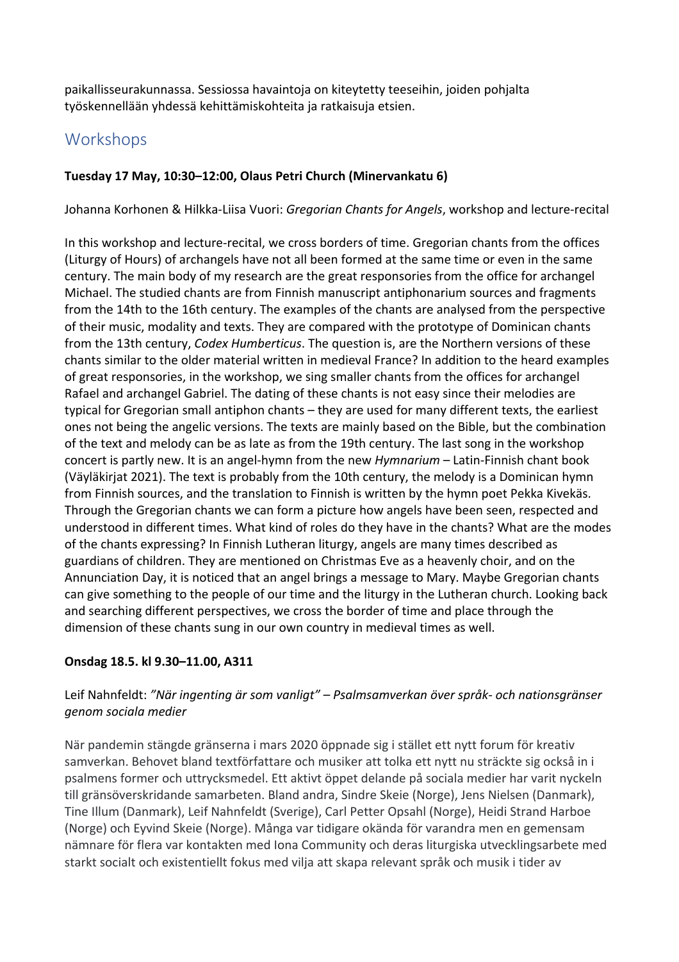paikallisseurakunnassa. Sessiossa havaintoja on kiteytetty teeseihin, joiden pohjalta työskennellään yhdessä kehittämiskohteita ja ratkaisuja etsien.

# Workshops

## **Tuesday 17 May, 10:30–12:00, Olaus Petri Church (Minervankatu 6)**

Johanna Korhonen & Hilkka-Liisa Vuori: *Gregorian Chants for Angels*, workshop and lecture-recital

In this workshop and lecture-recital, we cross borders of time. Gregorian chants from the offices (Liturgy of Hours) of archangels have not all been formed at the same time or even in the same century. The main body of my research are the great responsories from the office for archangel Michael. The studied chants are from Finnish manuscript antiphonarium sources and fragments from the 14th to the 16th century. The examples of the chants are analysed from the perspective of their music, modality and texts. They are compared with the prototype of Dominican chants from the 13th century, *Codex Humberticus*. The question is, are the Northern versions of these chants similar to the older material written in medieval France? In addition to the heard examples of great responsories, in the workshop, we sing smaller chants from the offices for archangel Rafael and archangel Gabriel. The dating of these chants is not easy since their melodies are typical for Gregorian small antiphon chants – they are used for many different texts, the earliest ones not being the angelic versions. The texts are mainly based on the Bible, but the combination of the text and melody can be as late as from the 19th century. The last song in the workshop concert is partly new. It is an angel-hymn from the new *Hymnarium* – Latin-Finnish chant book (Väyläkirjat 2021). The text is probably from the 10th century, the melody is a Dominican hymn from Finnish sources, and the translation to Finnish is written by the hymn poet Pekka Kivekäs. Through the Gregorian chants we can form a picture how angels have been seen, respected and understood in different times. What kind of roles do they have in the chants? What are the modes of the chants expressing? In Finnish Lutheran liturgy, angels are many times described as guardians of children. They are mentioned on Christmas Eve as a heavenly choir, and on the Annunciation Day, it is noticed that an angel brings a message to Mary. Maybe Gregorian chants can give something to the people of our time and the liturgy in the Lutheran church. Looking back and searching different perspectives, we cross the border of time and place through the dimension of these chants sung in our own country in medieval times as well.

## **Onsdag 18.5. kl 9.30–11.00, A311**

## Leif Nahnfeldt: *"När ingenting är som vanligt" – Psalmsamverkan över språk- och nationsgränser genom sociala medier*

När pandemin stängde gränserna i mars 2020 öppnade sig i stället ett nytt forum för kreativ samverkan. Behovet bland textförfattare och musiker att tolka ett nytt nu sträckte sig också in i psalmens former och uttrycksmedel. Ett aktivt öppet delande på sociala medier har varit nyckeln till gränsöverskridande samarbeten. Bland andra, Sindre Skeie (Norge), Jens Nielsen (Danmark), Tine Illum (Danmark), Leif Nahnfeldt (Sverige), Carl Petter Opsahl (Norge), Heidi Strand Harboe (Norge) och Eyvind Skeie (Norge). Många var tidigare okända för varandra men en gemensam nämnare för flera var kontakten med Iona Community och deras liturgiska utvecklingsarbete med starkt socialt och existentiellt fokus med vilja att skapa relevant språk och musik i tider av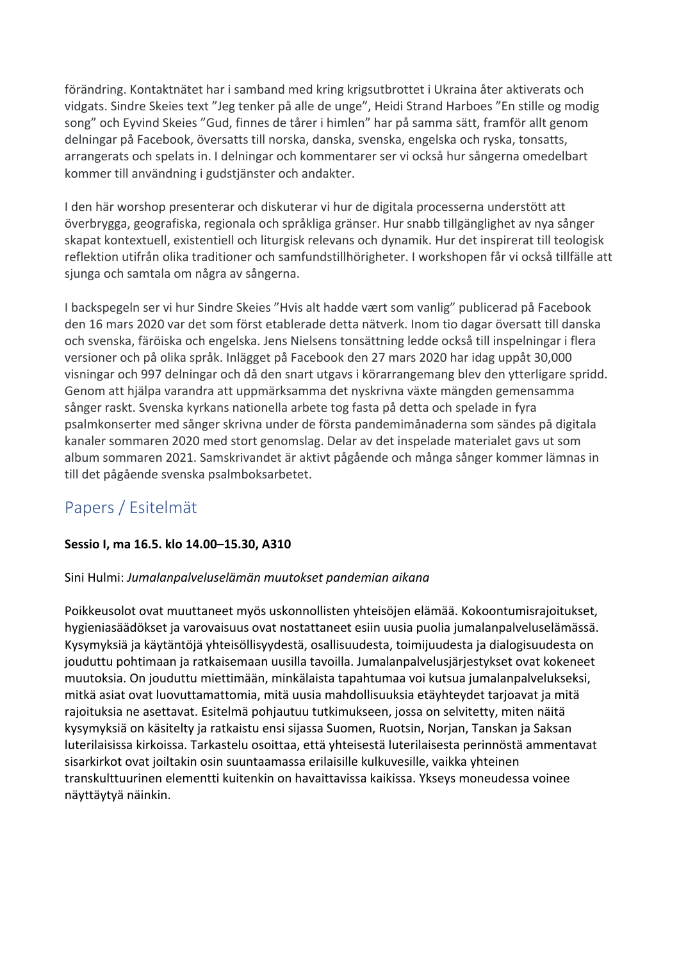förändring. Kontaktnätet har i samband med kring krigsutbrottet i Ukraina åter aktiverats och vidgats. Sindre Skeies text "Jeg tenker på alle de unge", Heidi Strand Harboes "En stille og modig song" och Eyvind Skeies "Gud, finnes de tårer i himlen" har på samma sätt, framför allt genom delningar på Facebook, översatts till norska, danska, svenska, engelska och ryska, tonsatts, arrangerats och spelats in. I delningar och kommentarer ser vi också hur sångerna omedelbart kommer till användning i gudstjänster och andakter.

I den här worshop presenterar och diskuterar vi hur de digitala processerna understött att överbrygga, geografiska, regionala och språkliga gränser. Hur snabb tillgänglighet av nya sånger skapat kontextuell, existentiell och liturgisk relevans och dynamik. Hur det inspirerat till teologisk reflektion utifrån olika traditioner och samfundstillhörigheter. I workshopen får vi också tillfälle att sjunga och samtala om några av sångerna.

I backspegeln ser vi hur Sindre Skeies "Hvis alt hadde vært som vanlig" publicerad på Facebook den 16 mars 2020 var det som först etablerade detta nätverk. Inom tio dagar översatt till danska och svenska, färöiska och engelska. Jens Nielsens tonsättning ledde också till inspelningar i flera versioner och på olika språk. Inlägget på Facebook den 27 mars 2020 har idag uppåt 30,000 visningar och 997 delningar och då den snart utgavs i körarrangemang blev den ytterligare spridd. Genom att hjälpa varandra att uppmärksamma det nyskrivna växte mängden gemensamma sånger raskt. Svenska kyrkans nationella arbete tog fasta på detta och spelade in fyra psalmkonserter med sånger skrivna under de första pandemimånaderna som sändes på digitala kanaler sommaren 2020 med stort genomslag. Delar av det inspelade materialet gavs ut som album sommaren 2021. Samskrivandet är aktivt pågående och många sånger kommer lämnas in till det pågående svenska psalmboksarbetet.

# Papers / Esitelmät

## **Sessio I, ma 16.5. klo 14.00–15.30, A310**

## Sini Hulmi: *Jumalanpalveluselämän muutokset pandemian aikana*

Poikkeusolot ovat muuttaneet myös uskonnollisten yhteisöjen elämää. Kokoontumisrajoitukset, hygieniasäädökset ja varovaisuus ovat nostattaneet esiin uusia puolia jumalanpalveluselämässä. Kysymyksiä ja käytäntöjä yhteisöllisyydestä, osallisuudesta, toimijuudesta ja dialogisuudesta on jouduttu pohtimaan ja ratkaisemaan uusilla tavoilla. Jumalanpalvelusjärjestykset ovat kokeneet muutoksia. On jouduttu miettimään, minkälaista tapahtumaa voi kutsua jumalanpalvelukseksi, mitkä asiat ovat luovuttamattomia, mitä uusia mahdollisuuksia etäyhteydet tarjoavat ja mitä rajoituksia ne asettavat. Esitelmä pohjautuu tutkimukseen, jossa on selvitetty, miten näitä kysymyksiä on käsitelty ja ratkaistu ensi sijassa Suomen, Ruotsin, Norjan, Tanskan ja Saksan luterilaisissa kirkoissa. Tarkastelu osoittaa, että yhteisestä luterilaisesta perinnöstä ammentavat sisarkirkot ovat joiltakin osin suuntaamassa erilaisille kulkuvesille, vaikka yhteinen transkulttuurinen elementti kuitenkin on havaittavissa kaikissa. Ykseys moneudessa voinee näyttäytyä näinkin.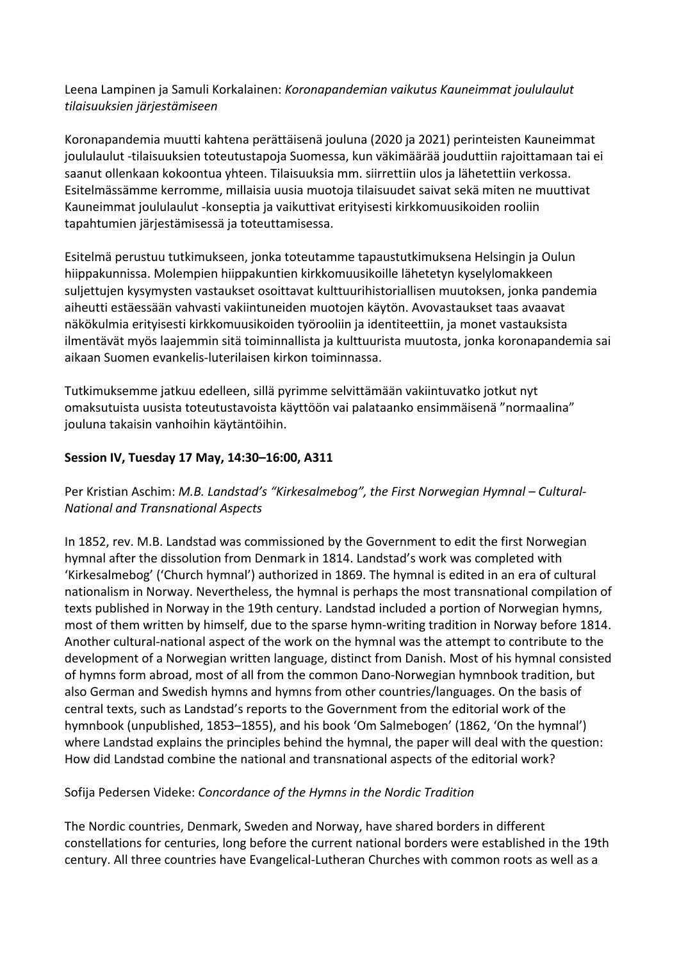## Leena Lampinen ja Samuli Korkalainen: *Koronapandemian vaikutus Kauneimmat joululaulut tilaisuuksien järjestämiseen*

Koronapandemia muutti kahtena perättäisenä jouluna (2020 ja 2021) perinteisten Kauneimmat joululaulut -tilaisuuksien toteutustapoja Suomessa, kun väkimäärää jouduttiin rajoittamaan tai ei saanut ollenkaan kokoontua yhteen. Tilaisuuksia mm. siirrettiin ulos ja lähetettiin verkossa. Esitelmässämme kerromme, millaisia uusia muotoja tilaisuudet saivat sekä miten ne muuttivat Kauneimmat joululaulut -konseptia ja vaikuttivat erityisesti kirkkomuusikoiden rooliin tapahtumien järjestämisessä ja toteuttamisessa.

Esitelmä perustuu tutkimukseen, jonka toteutamme tapaustutkimuksena Helsingin ja Oulun hiippakunnissa. Molempien hiippakuntien kirkkomuusikoille lähetetyn kyselylomakkeen suljettujen kysymysten vastaukset osoittavat kulttuurihistoriallisen muutoksen, jonka pandemia aiheutti estäessään vahvasti vakiintuneiden muotojen käytön. Avovastaukset taas avaavat näkökulmia erityisesti kirkkomuusikoiden työrooliin ja identiteettiin, ja monet vastauksista ilmentävät myös laajemmin sitä toiminnallista ja kulttuurista muutosta, jonka koronapandemia sai aikaan Suomen evankelis-luterilaisen kirkon toiminnassa.

Tutkimuksemme jatkuu edelleen, sillä pyrimme selvittämään vakiintuvatko jotkut nyt omaksutuista uusista toteutustavoista käyttöön vai palataanko ensimmäisenä "normaalina" jouluna takaisin vanhoihin käytäntöihin.

## **Session IV, Tuesday 17 May, 14:30–16:00, A311**

## Per Kristian Aschim: *M.B. Landstad's "Kirkesalmebog", the First Norwegian Hymnal – Cultural-National and Transnational Aspects*

In 1852, rev. M.B. Landstad was commissioned by the Government to edit the first Norwegian hymnal after the dissolution from Denmark in 1814. Landstad's work was completed with 'Kirkesalmebog' ('Church hymnal') authorized in 1869. The hymnal is edited in an era of cultural nationalism in Norway. Nevertheless, the hymnal is perhaps the most transnational compilation of texts published in Norway in the 19th century. Landstad included a portion of Norwegian hymns, most of them written by himself, due to the sparse hymn-writing tradition in Norway before 1814. Another cultural-national aspect of the work on the hymnal was the attempt to contribute to the development of a Norwegian written language, distinct from Danish. Most of his hymnal consisted of hymns form abroad, most of all from the common Dano-Norwegian hymnbook tradition, but also German and Swedish hymns and hymns from other countries/languages. On the basis of central texts, such as Landstad's reports to the Government from the editorial work of the hymnbook (unpublished, 1853–1855), and his book 'Om Salmebogen' (1862, 'On the hymnal') where Landstad explains the principles behind the hymnal, the paper will deal with the question: How did Landstad combine the national and transnational aspects of the editorial work?

## Sofija Pedersen Videke: *Concordance of the Hymns in the Nordic Tradition*

The Nordic countries, Denmark, Sweden and Norway, have shared borders in different constellations for centuries, long before the current national borders were established in the 19th century. All three countries have Evangelical-Lutheran Churches with common roots as well as a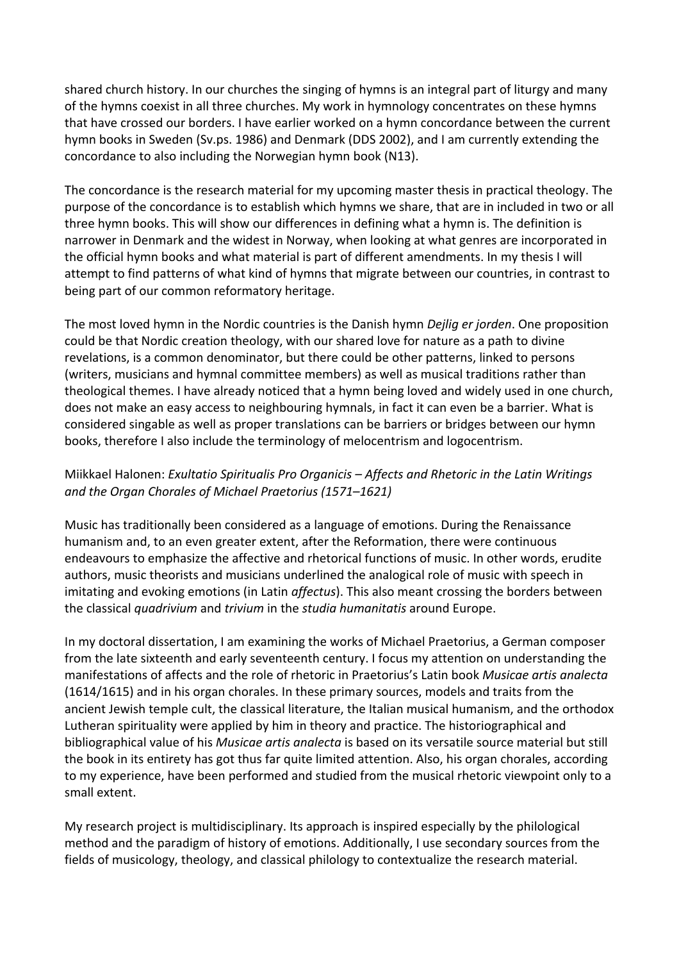shared church history. In our churches the singing of hymns is an integral part of liturgy and many of the hymns coexist in all three churches. My work in hymnology concentrates on these hymns that have crossed our borders. I have earlier worked on a hymn concordance between the current hymn books in Sweden (Sv.ps. 1986) and Denmark (DDS 2002), and I am currently extending the concordance to also including the Norwegian hymn book (N13).

The concordance is the research material for my upcoming master thesis in practical theology. The purpose of the concordance is to establish which hymns we share, that are in included in two or all three hymn books. This will show our differences in defining what a hymn is. The definition is narrower in Denmark and the widest in Norway, when looking at what genres are incorporated in the official hymn books and what material is part of different amendments. In my thesis I will attempt to find patterns of what kind of hymns that migrate between our countries, in contrast to being part of our common reformatory heritage.

The most loved hymn in the Nordic countries is the Danish hymn *Dejlig er jorden*. One proposition could be that Nordic creation theology, with our shared love for nature as a path to divine revelations, is a common denominator, but there could be other patterns, linked to persons (writers, musicians and hymnal committee members) as well as musical traditions rather than theological themes. I have already noticed that a hymn being loved and widely used in one church, does not make an easy access to neighbouring hymnals, in fact it can even be a barrier. What is considered singable as well as proper translations can be barriers or bridges between our hymn books, therefore I also include the terminology of melocentrism and logocentrism.

## Miikkael Halonen: *Exultatio Spiritualis Pro Organicis – Affects and Rhetoric in the Latin Writings and the Organ Chorales of Michael Praetorius (1571–1621)*

Music has traditionally been considered as a language of emotions. During the Renaissance humanism and, to an even greater extent, after the Reformation, there were continuous endeavours to emphasize the affective and rhetorical functions of music. In other words, erudite authors, music theorists and musicians underlined the analogical role of music with speech in imitating and evoking emotions (in Latin *affectus*). This also meant crossing the borders between the classical *quadrivium* and *trivium* in the *studia humanitatis* around Europe.

In my doctoral dissertation, I am examining the works of Michael Praetorius, a German composer from the late sixteenth and early seventeenth century. I focus my attention on understanding the manifestations of affects and the role of rhetoric in Praetorius's Latin book *Musicae artis analecta* (1614/1615) and in his organ chorales. In these primary sources, models and traits from the ancient Jewish temple cult, the classical literature, the Italian musical humanism, and the orthodox Lutheran spirituality were applied by him in theory and practice. The historiographical and bibliographical value of his *Musicae artis analecta* is based on its versatile source material but still the book in its entirety has got thus far quite limited attention. Also, his organ chorales, according to my experience, have been performed and studied from the musical rhetoric viewpoint only to a small extent.

My research project is multidisciplinary. Its approach is inspired especially by the philological method and the paradigm of history of emotions. Additionally, I use secondary sources from the fields of musicology, theology, and classical philology to contextualize the research material.